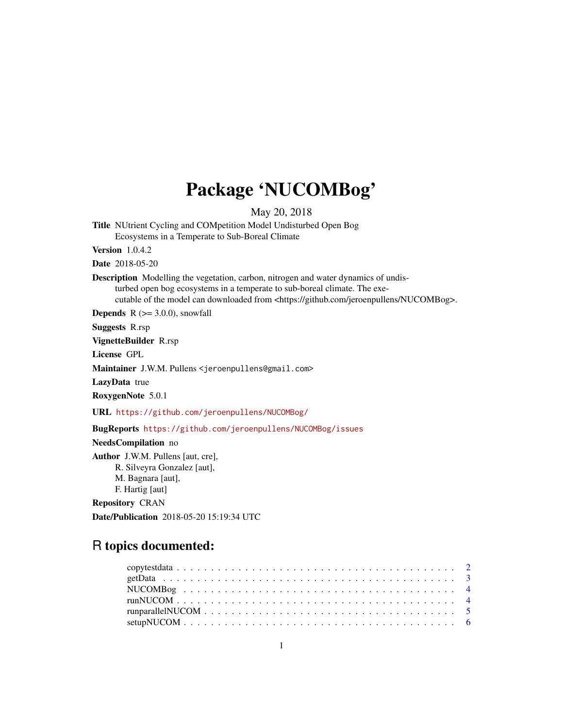## Package 'NUCOMBog'

May 20, 2018

Title NUtrient Cycling and COMpetition Model Undisturbed Open Bog Ecosystems in a Temperate to Sub-Boreal Climate

Version 1.0.4.2

Date 2018-05-20

Description Modelling the vegetation, carbon, nitrogen and water dynamics of undisturbed open bog ecosystems in a temperate to sub-boreal climate. The executable of the model can downloaded from <https://github.com/jeroenpullens/NUCOMBog>.

**Depends**  $R$  ( $>=$  3.0.0), snowfall

Suggests R.rsp

VignetteBuilder R.rsp

License GPL

Maintainer J.W.M. Pullens <jeroenpullens@gmail.com>

LazyData true

RoxygenNote 5.0.1

URL <https://github.com/jeroenpullens/NUCOMBog/>

BugReports <https://github.com/jeroenpullens/NUCOMBog/issues>

NeedsCompilation no

Author J.W.M. Pullens [aut, cre], R. Silveyra Gonzalez [aut], M. Bagnara [aut], F. Hartig [aut]

Repository CRAN

Date/Publication 2018-05-20 15:19:34 UTC

## R topics documented: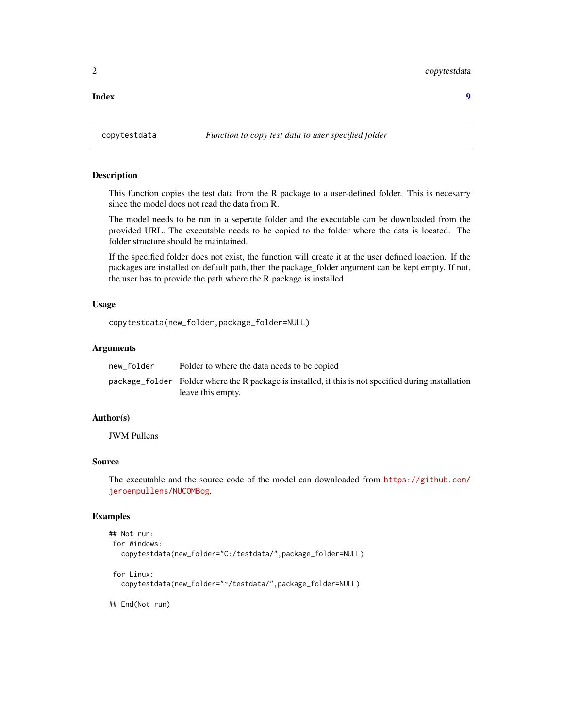<span id="page-1-0"></span>**Index** [9](#page-8-0)

## Description

This function copies the test data from the R package to a user-defined folder. This is necesarry since the model does not read the data from R.

The model needs to be run in a seperate folder and the executable can be downloaded from the provided URL. The executable needs to be copied to the folder where the data is located. The folder structure should be maintained.

If the specified folder does not exist, the function will create it at the user defined loaction. If the packages are installed on default path, then the package\_folder argument can be kept empty. If not, the user has to provide the path where the R package is installed.

## Usage

```
copytestdata(new_folder,package_folder=NULL)
```
## Arguments

| new folder | Folder to where the data needs to be copied                                                          |
|------------|------------------------------------------------------------------------------------------------------|
|            | package_folder Folder where the R package is installed, if this is not specified during installation |
|            | leave this empty.                                                                                    |

## Author(s)

JWM Pullens

## Source

The executable and the source code of the model can downloaded from [https://github.com/](https://github.com/jeroenpullens/NUCOMBog) [jeroenpullens/NUCOMBog](https://github.com/jeroenpullens/NUCOMBog).

## Examples

```
## Not run:
for Windows:
  copytestdata(new_folder="C:/testdata/",package_folder=NULL)
 for Linux:
  copytestdata(new_folder="~/testdata/",package_folder=NULL)
## End(Not run)
```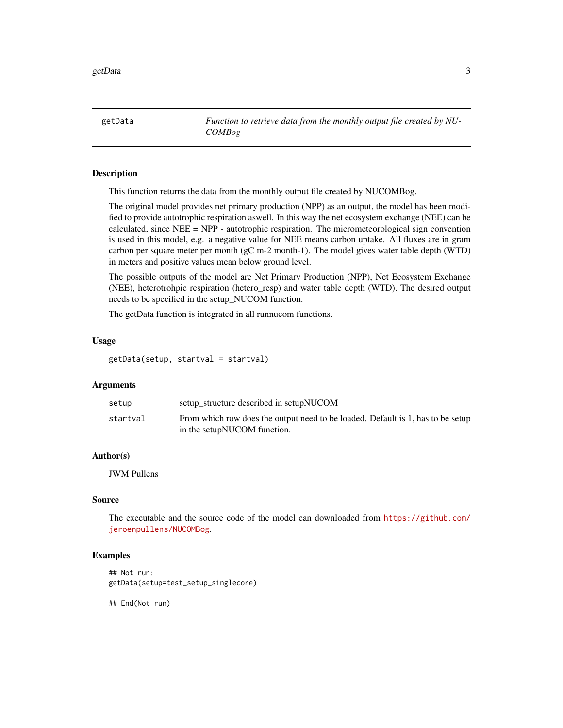<span id="page-2-0"></span>getData *Function to retrieve data from the monthly output file created by NU-COMBog*

## Description

This function returns the data from the monthly output file created by NUCOMBog.

The original model provides net primary production (NPP) as an output, the model has been modified to provide autotrophic respiration aswell. In this way the net ecosystem exchange (NEE) can be calculated, since  $NEE = NPP$  - autotrophic respiration. The micrometeorological sign convention is used in this model, e.g. a negative value for NEE means carbon uptake. All fluxes are in gram carbon per square meter per month (gC m-2 month-1). The model gives water table depth (WTD) in meters and positive values mean below ground level.

The possible outputs of the model are Net Primary Production (NPP), Net Ecosystem Exchange (NEE), heterotrohpic respiration (hetero\_resp) and water table depth (WTD). The desired output needs to be specified in the setup\_NUCOM function.

The getData function is integrated in all runnucom functions.

## Usage

getData(setup, startval = startval)

## Arguments

| setup    | setup structure described in setupNUCOM                                                                        |
|----------|----------------------------------------------------------------------------------------------------------------|
| startval | From which row does the output need to be loaded. Default is 1, has to be setup<br>in the setupNUCOM function. |

## Author(s)

JWM Pullens

## Source

The executable and the source code of the model can downloaded from [https://github.com/](https://github.com/jeroenpullens/NUCOMBog) [jeroenpullens/NUCOMBog](https://github.com/jeroenpullens/NUCOMBog).

### Examples

## Not run: getData(setup=test\_setup\_singlecore)

## End(Not run)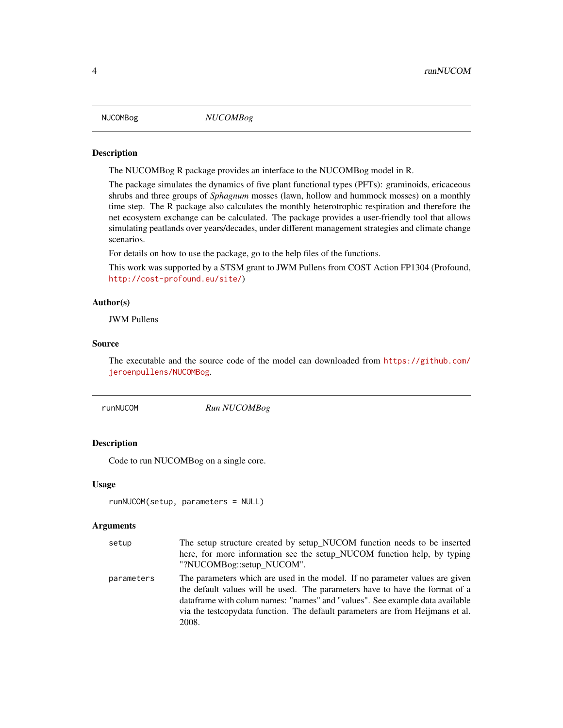<span id="page-3-0"></span>

## Description

The NUCOMBog R package provides an interface to the NUCOMBog model in R.

The package simulates the dynamics of five plant functional types (PFTs): graminoids, ericaceous shrubs and three groups of *Sphagnum* mosses (lawn, hollow and hummock mosses) on a monthly time step. The R package also calculates the monthly heterotrophic respiration and therefore the net ecosystem exchange can be calculated. The package provides a user-friendly tool that allows simulating peatlands over years/decades, under different management strategies and climate change scenarios.

For details on how to use the package, go to the help files of the functions.

This work was supported by a STSM grant to JWM Pullens from COST Action FP1304 (Profound, <http://cost-profound.eu/site/>)

## Author(s)

JWM Pullens

## Source

The executable and the source code of the model can downloaded from [https://github.com/](https://github.com/jeroenpullens/NUCOMBog) [jeroenpullens/NUCOMBog](https://github.com/jeroenpullens/NUCOMBog).

runNUCOM *Run NUCOMBog*

## Description

Code to run NUCOMBog on a single core.

## Usage

```
runNUCOM(setup, parameters = NULL)
```
#### Arguments

| setup      | The setup structure created by setup_NUCOM function needs to be inserted                                                                                                                                                                                                                                                                 |
|------------|------------------------------------------------------------------------------------------------------------------------------------------------------------------------------------------------------------------------------------------------------------------------------------------------------------------------------------------|
|            | here, for more information see the setup_NUCOM function help, by typing                                                                                                                                                                                                                                                                  |
|            | "?NUCOMBog::setup_NUCOM".                                                                                                                                                                                                                                                                                                                |
| parameters | The parameters which are used in the model. If no parameter values are given<br>the default values will be used. The parameters have to have the format of a<br>dataframe with colum names: "names" and "values". See example data available<br>via the test copydata function. The default parameters are from Heijmans et al.<br>2008. |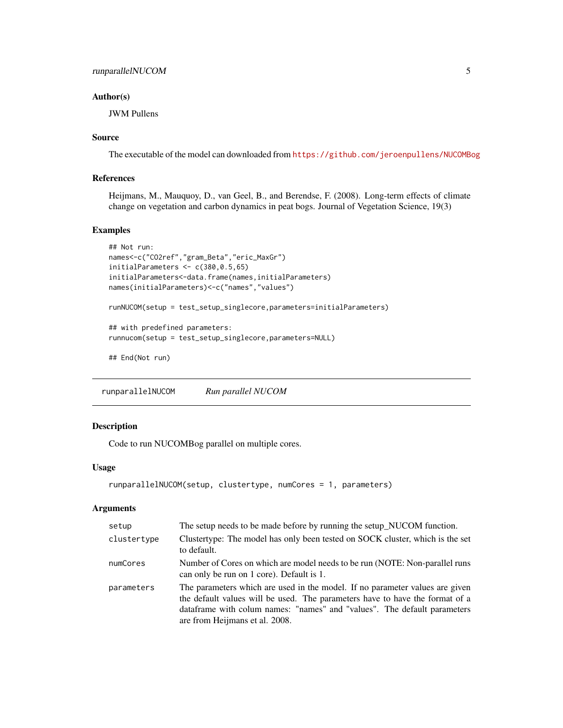## <span id="page-4-0"></span>runparallelNUCOM 5

## Author(s)

JWM Pullens

## Source

The executable of the model can downloaded from <https://github.com/jeroenpullens/NUCOMBog>

## References

Heijmans, M., Mauquoy, D., van Geel, B., and Berendse, F. (2008). Long-term effects of climate change on vegetation and carbon dynamics in peat bogs. Journal of Vegetation Science, 19(3)

## Examples

```
## Not run:
names<-c("CO2ref","gram_Beta","eric_MaxGr")
initialParameters <-c(380, 0.5, 65)initialParameters<-data.frame(names,initialParameters)
names(initialParameters)<-c("names","values")
runNUCOM(setup = test_setup_singlecore,parameters=initialParameters)
## with predefined parameters:
runnucom(setup = test_setup_singlecore,parameters=NULL)
## End(Not run)
```
runparallelNUCOM *Run parallel NUCOM*

## Description

Code to run NUCOMBog parallel on multiple cores.

## Usage

```
runparallelNUCOM(setup, clustertype, numCores = 1, parameters)
```
## Arguments

| setup       | The setup needs to be made before by running the setup_NUCOM function.                                                                                                                                                                                                     |
|-------------|----------------------------------------------------------------------------------------------------------------------------------------------------------------------------------------------------------------------------------------------------------------------------|
| clustertype | Clustertype: The model has only been tested on SOCK cluster, which is the set<br>to default.                                                                                                                                                                               |
| numCores    | Number of Cores on which are model needs to be run (NOTE: Non-parallel runs<br>can only be run on 1 core). Default is 1.                                                                                                                                                   |
| parameters  | The parameters which are used in the model. If no parameter values are given<br>the default values will be used. The parameters have to have the format of a<br>data frame with columnames: "names" and "values". The default parameters<br>are from Heijmans et al. 2008. |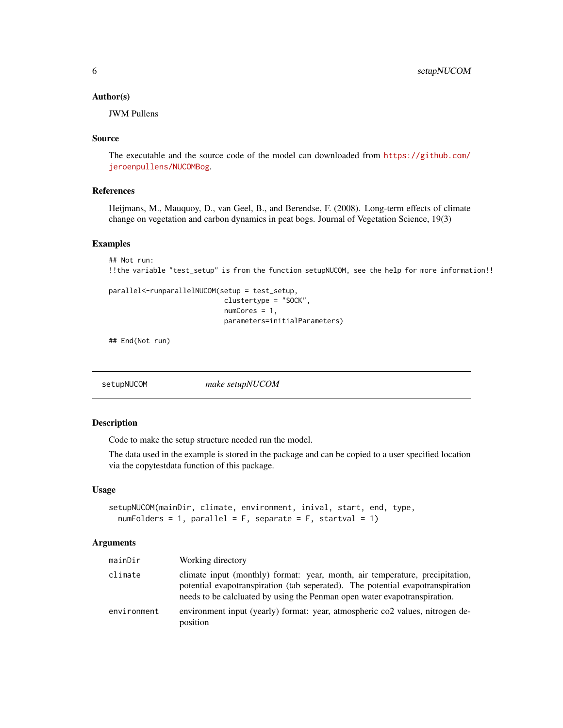## <span id="page-5-0"></span>Author(s)

JWM Pullens

## Source

The executable and the source code of the model can downloaded from [https://github.com/](https://github.com/jeroenpullens/NUCOMBog) [jeroenpullens/NUCOMBog](https://github.com/jeroenpullens/NUCOMBog).

## References

Heijmans, M., Mauquoy, D., van Geel, B., and Berendse, F. (2008). Long-term effects of climate change on vegetation and carbon dynamics in peat bogs. Journal of Vegetation Science, 19(3)

## Examples

```
## Not run:
!!the variable "test_setup" is from the function setupNUCOM, see the help for more information!!
```

```
parallel<-runparallelNUCOM(setup = test_setup,
                            clustertype = "SOCK",
                            numCores = 1,
                            parameters=initialParameters)
```
## End(Not run)

setupNUCOM *make setupNUCOM*

## Description

Code to make the setup structure needed run the model.

The data used in the example is stored in the package and can be copied to a user specified location via the copytestdata function of this package.

## Usage

```
setupNUCOM(mainDir, climate, environment, inival, start, end, type,
  numFolds = 1, parallel = F, separate = F, startval = 1
```
## Arguments

| mainDir     | Working directory                                                                                                                                                                                                                           |
|-------------|---------------------------------------------------------------------------------------------------------------------------------------------------------------------------------------------------------------------------------------------|
| climate     | climate input (monthly) format: year, month, air temperature, precipitation,<br>potential evapotranspiration (tab seperated). The potential evapotranspiration<br>needs to be calcluated by using the Penman open water evapotranspiration. |
| environment | environment input (yearly) format: year, atmospheric co2 values, nitrogen de-<br>position                                                                                                                                                   |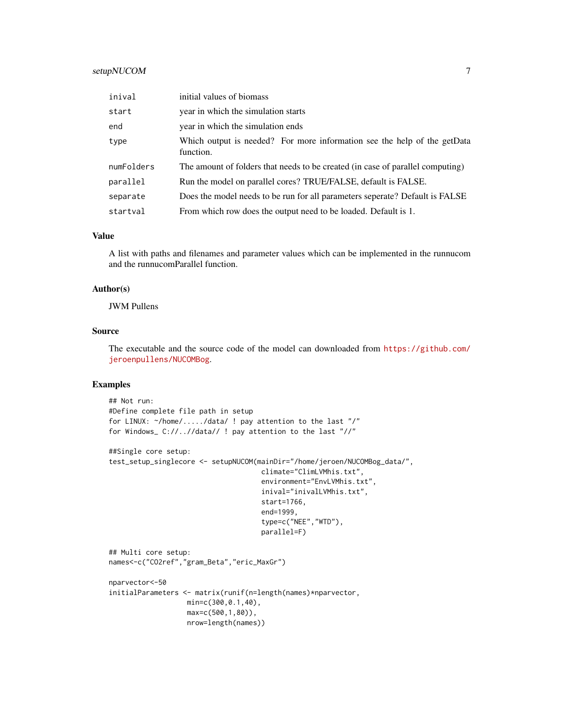## setupNUCOM 7

| inival     | initial values of biomass                                                             |
|------------|---------------------------------------------------------------------------------------|
| start      | year in which the simulation starts                                                   |
| end        | year in which the simulation ends                                                     |
| type       | Which output is needed? For more information see the help of the getData<br>function. |
| numFolders | The amount of folders that needs to be created (in case of parallel computing)        |
| parallel   | Run the model on parallel cores? TRUE/FALSE, default is FALSE.                        |
| separate   | Does the model needs to be run for all parameters seperate? Default is FALSE          |
| startval   | From which row does the output need to be loaded. Default is 1.                       |

## Value

A list with paths and filenames and parameter values which can be implemented in the runnucom and the runnucomParallel function.

## Author(s)

JWM Pullens

## Source

The executable and the source code of the model can downloaded from [https://github.com/](https://github.com/jeroenpullens/NUCOMBog) [jeroenpullens/NUCOMBog](https://github.com/jeroenpullens/NUCOMBog).

## Examples

```
## Not run:
#Define complete file path in setup
for LINUX: ~/home/...../data/ ! pay attention to the last "/"
for Windows_ C://..//data// ! pay attention to the last "//"
##Single core setup:
test_setup_singlecore <- setupNUCOM(mainDir="/home/jeroen/NUCOMBog_data/",
                                     climate="ClimLVMhis.txt",
                                     environment="EnvLVMhis.txt",
                                     inival="inivalLVMhis.txt",
                                     start=1766,
                                     end=1999,
                                     type=c("NEE","WTD"),
                                     parallel=F)
## Multi core setup:
names<-c("CO2ref","gram_Beta","eric_MaxGr")
nparvector<-50
initialParameters <- matrix(runif(n=length(names)*nparvector,
                   min=c(300,0.1,40),
                   max=c(500,1,80)),
                   nrow=length(names))
```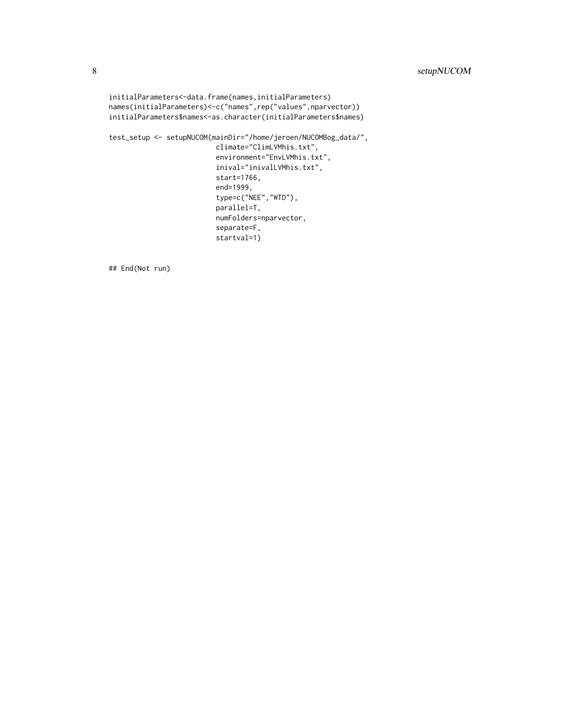```
initialParameters<-data.frame(names,initialParameters)
names(initialParameters)<-c("names",rep("values",nparvector))
initialParameters$names<-as.character(initialParameters$names)
test_setup <- setupNUCOM(mainDir="/home/jeroen/NUCOMBog_data/",
                          climate="ClimLVMhis.txt",
                          environment="EnvLVMhis.txt",
                          inival="inivalLVMhis.txt",
                          start=1766,
                          end=1999,
                          type=c("NEE","WTD"),
                          parallel=T,
                          numFolders=nparvector,
                          separate=F,
                          startval=1)
```
## End(Not run)